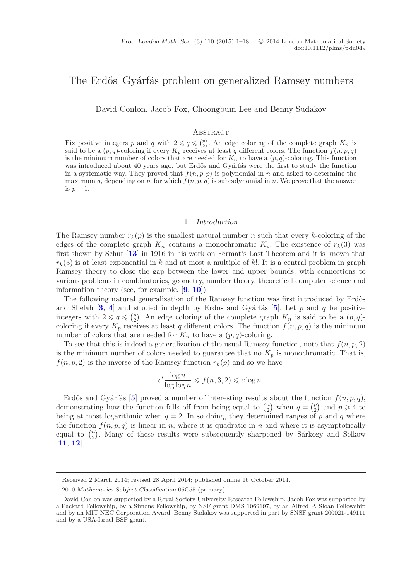# The Erdős–Gyárfás problem on generalized Ramsey numbers

David Conlon, Jacob Fox, Choongbum Lee and Benny Sudakov

#### **ABSTRACT**

Fix positive integers *p* and *q* with  $2 \le q \le {p \choose 2}$ . An edge coloring of the complete graph  $K_n$  is said to be a  $(p, q)$ -coloring if every  $K_p$  receives at least *q* different colors. The function  $f(n, p, q)$ is the minimum number of colors that are needed for  $K_n$  to have a  $(p, q)$ -coloring. This function was introduced about 40 years ago, but Erdős and Gyárfás were the first to study the function in a systematic way. They proved that  $f(n, p, p)$  is polynomial in *n* and asked to determine the maximum *q*, depending on *p*, for which  $f(n, p, q)$  is subpolynomial in *n*. We prove that the answer is  $p-1$ .

#### 1. *Introduction*

The Ramsey number  $r_k(p)$  is the smallest natural number n such that every k-coloring of the edges of the complete graph  $K_n$  contains a monochromatic  $K_p$ . The existence of  $r_k(3)$  was first shown by Schur [**[13](#page-17-0)**] in 1916 in his work on Fermat's Last Theorem and it is known that  $r_k(3)$  is at least exponential in k and at most a multiple of k!. It is a central problem in graph Ramsey theory to close the gap between the lower and upper bounds, with connections to various problems in combinatorics, geometry, number theory, theoretical computer science and information theory (see, for example, [**[9](#page-16-0)**, **[10](#page-16-1)**]).

The following natural generalization of the Ramsey function was first introduced by Erdős and Shelah  $\begin{bmatrix} 3, 4 \end{bmatrix}$  $\begin{bmatrix} 3, 4 \end{bmatrix}$  $\begin{bmatrix} 3, 4 \end{bmatrix}$  $\begin{bmatrix} 3, 4 \end{bmatrix}$  $\begin{bmatrix} 3, 4 \end{bmatrix}$  and studied in depth by Erdős and Gyárfás  $\begin{bmatrix} 5 \end{bmatrix}$  $\begin{bmatrix} 5 \end{bmatrix}$  $\begin{bmatrix} 5 \end{bmatrix}$ . Let p and q be positive integers with  $2 \leq q \leq {p \choose 2}$ . An edge coloring of the complete graph  $K_n$  is said to be a  $(p, q)$ coloring if every  $K_p$  receives at least q different colors. The function  $f(n, p, q)$  is the minimum number of colors that are needed for  $K_n$  to have a  $(p, q)$ -coloring.

To see that this is indeed a generalization of the usual Ramsey function, note that  $f(n, p, 2)$ is the minimum number of colors needed to guarantee that no  $K_p$  is monochromatic. That is,  $f(n, p, 2)$  is the inverse of the Ramsey function  $r_k(p)$  and so we have

$$
c' \frac{\log n}{\log \log n} \leqslant f(n, 3, 2) \leqslant c \log n.
$$

Erdős and Gyárfás [[5](#page-16-4)] proved a number of interesting results about the function  $f(n, p, q)$ , demonstrating how the function falls off from being equal to  $\binom{n}{2}$  when  $q = \binom{p}{2}$  and  $p \geq 4$  to being at most logarithmic when  $q = 2$ . In so doing, they determined ranges of p and q where the function  $f(n, p, q)$  is linear in n, where it is quadratic in n and where it is asymptotically equal to  $\binom{n}{2}$ . Many of these results were subsequently sharpened by Sárközy and Selkow [**[11](#page-17-1)**, **[12](#page-17-2)**].

Received 2 March 2014; revised 28 April 2014; published online 16 October 2014.

<sup>2010</sup> *Mathematics Subject Classification* 05C55 (primary).

David Conlon was supported by a Royal Society University Research Fellowship. Jacob Fox was supported by a Packard Fellowship, by a Simons Fellowship, by NSF grant DMS-1069197, by an Alfred P. Sloan Fellowship and by an MIT NEC Corporation Award. Benny Sudakov was supported in part by SNSF grant 200021-149111 and by a USA-Israel BSF grant.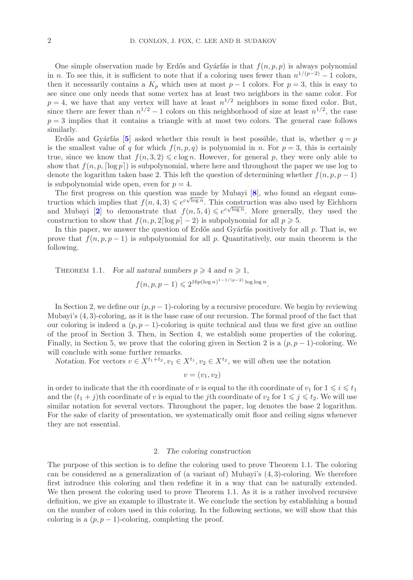One simple observation made by Erdős and Gyárfás is that  $f(n, p, p)$  is always polynomial in n. To see this, it is sufficient to note that if a coloring uses fewer than  $n^{1/(p-2)} - 1$  colors, then it necessarily contains a  $K_p$  which uses at most  $p-1$  colors. For  $p=3$ , this is easy to see since one only needs that some vertex has at least two neighbors in the same color. For  $p = 4$ , we have that any vertex will have at least  $n^{1/2}$  neighbors in some fixed color. But, since there are fewer than  $n^{1/2} - 1$  colors on this neighborhood of size at least  $n^{1/2}$ , the case  $p = 3$  implies that it contains a triangle with at most two colors. The general case follows similarly.

Erdős and Gyárfás [[5](#page-16-4)] asked whether this result is best possible, that is, whether  $q = p$ is the smallest value of q for which  $f(n, p, q)$  is polynomial in n. For  $p = 3$ , this is certainly true, since we know that  $f(n, 3, 2) \leq c \log n$ . However, for general p, they were only able to show that  $f(n, p, \lceil \log p \rceil)$  is subpolynomial, where here and throughout the paper we use log to denote the logarithm taken base 2. This left the question of determining whether  $f(n, p, p - 1)$ is subpolynomial wide open, even for  $p = 4$ .

The first progress on this question was made by Mubayi [**[8](#page-16-5)**], who found an elegant construction which implies that  $f(n, 4, 3) \leq e^{c\sqrt{\log n}}$ . This construction was also used by Eichhorn and Mubayi [[2](#page-16-6)] to demonstrate that  $f(n, 5, 4) \leqslant e^{c\sqrt{\log n}}$ . More generally, they used the construction to show that  $f(n, p, 2\lceil \log p \rceil - 2)$  is subpolynomial for all  $p \ge 5$ .

In this paper, we answer the question of Erdős and Gyárfás positively for all  $p$ . That is, we prove that  $f(n, p, p-1)$  is subpolynomial for all p. Quantitatively, our main theorem is the following.

THEOREM 1.1. *For all natural numbers*  $p \ge 4$  *and*  $n \ge 1$ ,  $f(n, p, p - 1) \leqslant 2^{16p(\log n)^{1 - 1/(p-2)} \log \log n}.$ 

In Section 2, we define our  $(p, p - 1)$ -coloring by a recursive procedure. We begin by reviewing Mubayi's (4, 3)-coloring, as it is the base case of our recursion. The formal proof of the fact that our coloring is indeed a  $(p, p - 1)$ -coloring is quite technical and thus we first give an outline of the proof in Section 3. Then, in Section 4, we establish some properties of the coloring. Finally, in Section 5, we prove that the coloring given in Section 2 is a  $(p, p - 1)$ -coloring. We will conclude with some further remarks.

*Notation.* For vectors  $v \in X^{t_1+t_2}$ ,  $v_1 \in X^{t_1}$ ,  $v_2 \in X^{t_2}$ , we will often use the notation

$$
v=(v_1,v_2)
$$

in order to indicate that the *i*<sup>th</sup> coordinate of v is equal to the *i*<sup>th</sup> coordinate of v<sub>1</sub> for  $1 \le i \le t_1$ and the  $(t_1 + j)$ th coordinate of v is equal to the jth coordinate of  $v_2$  for  $1 \leq j \leq t_2$ . We will use<br>cimilar notation for several vectors. Throughout the paper, lex denotes the base 2 lexarithm similar notation for several vectors. Throughout the paper, log denotes the base 2 logarithm. For the sake of clarity of presentation, we systematically omit floor and ceiling signs whenever they are not essential.

# 2. *The coloring construction*

The purpose of this section is to define the coloring used to prove Theorem 1.1. The coloring can be considered as a generalization of (a variant of) Mubayi's (4, 3)-coloring. We therefore first introduce this coloring and then redefine it in a way that can be naturally extended. We then present the coloring used to prove Theorem 1.1. As it is a rather involved recursive definition, we give an example to illustrate it. We conclude the section by establishing a bound on the number of colors used in this coloring. In the following sections, we will show that this coloring is a  $(p, p - 1)$ -coloring, completing the proof.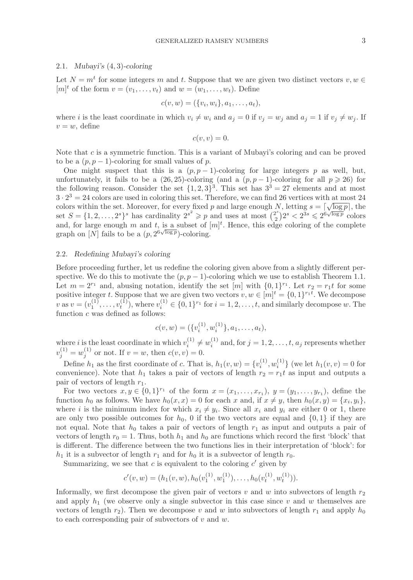## 2.1. *Mubayi's* (4, 3)*-coloring*

Let  $N = m^t$  for some integers m and t. Suppose that we are given two distinct vectors  $v, w \in$  $[m]^t$  of the form  $v = (v_1, \ldots, v_t)$  and  $w = (w_1, \ldots, w_t)$ . Define

$$
c(v, w) = (\{v_i, w_i\}, a_1, \dots, a_t),
$$

where i is the least coordinate in which  $v_i \neq w_i$  and  $a_j = 0$  if  $v_j = w_j$  and  $a_j = 1$  if  $v_j \neq w_j$ . If  $v = w$ , define

$$
c(v, v) = 0.
$$

Note that c is a symmetric function. This is a variant of Mubayi's coloring and can be proved to be a  $(p, p - 1)$ -coloring for small values of p.

One might suspect that this is a  $(p, p - 1)$ -coloring for large integers p as well, but, unfortunately, it fails to be a  $(26, 25)$ -coloring (and a  $(p, p - 1)$ -coloring for all  $p \ge 26$ ) for the following reason. Consider the set  $\{1, 2, 3\}^3$ . This set has  $3^3 = 27$  elements and at most  $3 \cdot 2^3 = 24$  colors are used in coloring this set. Therefore, we can find 26 vertices with at most 24  $3 \cdot 2 = 24$  colors are used in coloring this set. Therefore, we can find 20 vertices with at most 24 colors within the set. Moreover, for every fixed p and large enough N, letting  $s = \lceil \sqrt{\log p} \rceil$ , the set  $S = \{1, 2, ..., 2^s\}^s$  has cardinality  $2^{s^2} \geq p$  and uses at most  $\binom{2^s}{2}$ <br>and for large enough m and t is a subset of  $[m]^t$ . Hence, this edg  $2^s < 2^{3s} \leqslant 2^{6\sqrt{\log p}}$  colors and, for large enough m and t, is a subset of  $[m]^t$ . Hence, this edge coloring of the complete graph on [N] fails to be a  $(p, 2^{6\sqrt{\log p}})$ -coloring.

# 2.2. *Redefining Mubayi's coloring*

Before proceeding further, let us redefine the coloring given above from a slightly different perspective. We do this to motivate the  $(p, p - 1)$ -coloring which we use to establish Theorem 1.1. Let  $m = 2^{r_1}$  and, abusing notation, identify the set  $[m]$  with  $\{0,1\}^{r_1}$ . Let  $r_2 = r_1t$  for some positive integer t. Suppose that we are given two vectors  $v, w \in [m]^t = \{0, 1\}^{r_1 t}$ . We decompose  $v$  as  $v = (v_1^{(1)}, \ldots, v_t^{(1)})$ , where  $v_i^{(1)} \in \{0, 1\}^{r_1}$  for  $i = 1, 2, \ldots, t$ , and similarly decompose w. The function c was defined as follows: function  $c$  was defined as follows:

$$
c(v, w) = (\{v_i^{(1)}, w_i^{(1)}\}, a_1, \dots, a_t),
$$

where i is the least coordinate in which  $v_i^{(1)} \neq w_i^{(1)}$  and, for  $j = 1, 2, ..., t$ ,  $a_j$  represents whether  $v_j^{(1)} = w_j^{(1)}$  or not. If  $v = w$ , then  $c(v, v) = 0$ .

Define  $h_1$  as the first coordinate of c. That is,  $h_1(v, w) = \{v_i^{(1)}, w_i^{(1)}\}$  (we let  $h_1(v, v) = 0$  for property of  $v_i$  is  $h_i$  , we have  $h_i$  and  $v_i$  and  $v_i$  and  $v_i$  and  $v_i$  and  $v_i$  and  $v_i$  and  $v_i$  and  $v_i$  and convenience). Note that  $h_1$  takes a pair of vectors of length  $r_2 = r_1 t$  as input and outputs a pair of vectors of length  $r_1$ .

For two vectors  $x, y \in \{0, 1\}^{r_1}$  of the form  $x = (x_1, \ldots, x_{r_1}), y = (y_1, \ldots, y_{r_1}),$  define the function  $h_0$  as follows. We have  $h_0(x, x) = 0$  for each x and, if  $x \neq y$ , then  $h_0(x, y) = \{x_i, y_i\}$ , where i is the minimum index for which  $x_i \neq y_i$ . Since all  $x_i$  and  $y_i$  are either 0 or 1, there are only two possible outcomes for  $h_0$ , 0 if the two vectors are equal and  $\{0, 1\}$  if they are not equal. Note that  $h_0$  takes a pair of vectors of length  $r_1$  as input and outputs a pair of vectors of length  $r_0 = 1$ . Thus, both  $h_1$  and  $h_0$  are functions which record the first 'block' that is different. The difference between the two functions lies in their interpretation of 'block': for  $h_1$  it is a subvector of length  $r_1$  and for  $h_0$  it is a subvector of length  $r_0$ .

Summarizing, we see that  $c$  is equivalent to the coloring  $c'$  given by

$$
c'(v, w) = (h_1(v, w), h_0(v_1^{(1)}, w_1^{(1)}), \dots, h_0(v_t^{(1)}, w_t^{(1)})).
$$

Informally, we first decompose the given pair of vectors v and w into subvectors of length  $r_2$ and apply  $h_1$  (we observe only a single subvector in this case since v and w themselves are vectors of length  $r_2$ ). Then we decompose v and w into subvectors of length  $r_1$  and apply  $h_0$ to each corresponding pair of subvectors of  $v$  and  $w$ .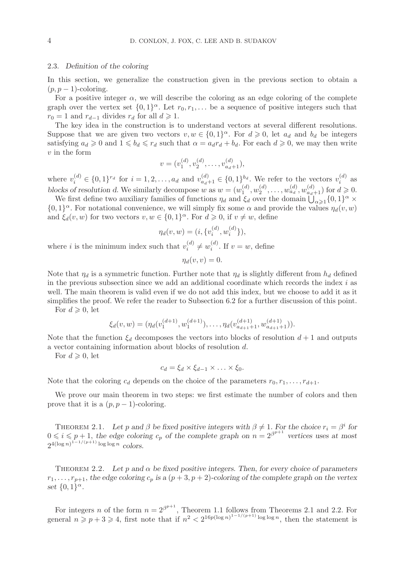# 2.3. *Definition of the coloring*

In this section, we generalize the construction given in the previous section to obtain a  $(p, p - 1)$ -coloring.

For a positive integer  $\alpha$ , we will describe the coloring as an edge coloring of the complete graph over the vertex set  $\{0, 1\}^{\alpha}$ . Let  $r_0, r_1, \ldots$  be a sequence of positive integers such that  $r_0 = 1$  and  $r_{d-1}$  divides  $r_d$  for all  $d \geq 1$ .

The key idea in the construction is to understand vectors at several different resolutions. Suppose that we are given two vectors  $v, w \in \{0, 1\}^{\alpha}$ . For  $d \geq 0$ , let  $a_d$  and  $b_d$  be integers satisfying  $a_d \ge 0$  and  $1 \le b_d \le r_d$  such that  $\alpha = a_d r_d + b_d$ . For each  $d \ge 0$ , we may then write  $v$  in the form

$$
v = (v_1^{(d)}, v_2^{(d)}, \dots, v_{a_d+1}^{(d)}),
$$

where  $v_i^{(d)} \in \{0,1\}^{r_d}$  for  $i = 1, 2, ..., a_d$  and  $v_{a_d+1}^{(d)} \in \{0,1\}^{b_d}$ . We refer to the vectors  $v_i^{(d)}$  as blocks of resolution d. We similarly decompose w as  $w = (w_1^{(d)}, w_2^{(d)}, \ldots, w_{d_d}^{(d)}, w_{d+1}^{(d)})$  for  $d \ge 0$ .<br>We first define two auxiliary families of functions  $v_i$ , and  $\xi$ , over the domain  $\iint_{\Omega} 1 \, \mathrm{d}x$ .

We first define two auxiliary families of functions  $\eta_d$  and  $\xi_d$  over the domain  $\bigcup_{\alpha\geq 1}^{\infty} \{0,1\}^{\alpha} \times$ <br>1<sup>{\attach{1}}}</sup> For notational convenience, we will simply fix some  $\alpha$  and provide the values  $n_1(y, y$  $\{0,1\}^{\alpha}$ . For notational convenience, we will simply fix some  $\alpha$  and provide the values  $\eta_d(v,w)$ and  $\xi_d(v, w)$  for two vectors  $v, w \in \{0, 1\}^\alpha$ . For  $d \geq 0$ , if  $v \neq w$ , define

$$
\eta_d(v, w) = (i, \{v_i^{(d)}, w_i^{(d)}\}),
$$

where *i* is the minimum index such that  $v_i^{(d)} \neq w_i^{(d)}$ . If  $v = w$ , define

$$
\eta_d(v,v)=0.
$$

Note that  $\eta_d$  is a symmetric function. Further note that  $\eta_d$  is slightly different from  $h_d$  defined in the previous subsection since we add an additional coordinate which records the index  $i$  as well. The main theorem is valid even if we do not add this index, but we choose to add it as it simplifies the proof. We refer the reader to Subsection 6.2 for a further discussion of this point.

For  $d \geqslant 0$ , let

$$
\xi_d(v, w) = (\eta_d(v_1^{(d+1)}, w_1^{(d+1)}), \dots, \eta_d(v_{a_{d+1}+1}^{(d+1)}, w_{a_{d+1}+1}^{(d+1)})).
$$

Note that the function  $\xi_d$  decomposes the vectors into blocks of resolution  $d+1$  and outputs a vector containing information about blocks of resolution d.

For  $d \geqslant 0$ , let

 $c_d = \xi_d \times \xi_{d-1} \times \ldots \times \xi_0.$ 

Note that the coloring  $c_d$  depends on the choice of the parameters  $r_0, r_1, \ldots, r_{d+1}$ .

We prove our main theorem in two steps: we first estimate the number of colors and then prove that it is a  $(p, p - 1)$ -coloring.

THEOREM 2.1. Let p and  $\beta$  be fixed positive integers with  $\beta \neq 1$ . For the choice  $r_i = \beta^i$  for  $0 \leq i \leq p+1$ , the edge coloring  $c_p$  of the complete graph on  $n = 2^{\beta^{p+1}}$  vertices uses at most  $2^{4(\log n)^{1-1/(p+1)} \log \log n}$  *colors.* 

THEOREM 2.2. Let p and  $\alpha$  be fixed positive integers. Then, for every choice of parameters  $r_1,\ldots,r_{p+1}$ , the edge coloring  $c_p$  is a  $(p+3,p+2)$ -coloring of the complete graph on the vertex *set*  $\{0, 1\}^\alpha$ *.* 

For integers n of the form  $n = 2^{\beta^{p+1}}$ , Theorem 1.1 follows from Theorems 2.1 and 2.2. For general  $n \geq p+3 \geq 4$ , first note that if  $n^2 < 2^{16p(\log n)^{1-1/(p+1)} \log \log n}$ , then the statement is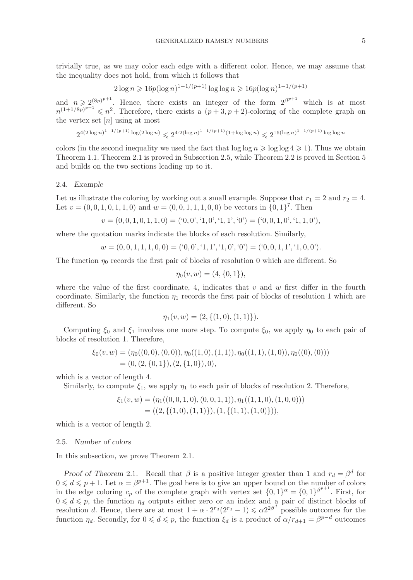trivially true, as we may color each edge with a different color. Hence, we may assume that the inequality does not hold, from which it follows that

$$
2\log n \geqslant 16p(\log n)^{1-1/(p+1)}\log\log n \geqslant 16p(\log n)^{1-1/(p+1)}
$$

and  $n \geq 2^{(8p)^{p+1}}$ . Hence, there exists an integer of the form  $2^{\beta^{p+1}}$  which is at most  $n^{(1+1/8p)^{p+1}} \leq n^2$ . Therefore, there exists a  $(p+3, p+2)$ -coloring of the complete graph on the vertex set  $[n]$  using at most

$$
2^{4(2\log n)^{1-1/(p+1)}\log(2\log n)}\leqslant 2^{4\cdot 2(\log n)^{1-1/(p+1)}(1+\log\log n)}\leqslant 2^{16(\log n)^{1-1/(p+1)}\log\log n}
$$

colors (in the second inequality we used the fact that  $\log \log n \geqslant \log \log 4 \geqslant 1$ ). Thus we obtain Theorem 1.1. Theorem 2.1 is proved in Subsection 2.5, while Theorem 2.2 is proved in Section 5 and builds on the two sections leading up to it.

# 2.4. *Example*

Let us illustrate the coloring by working out a small example. Suppose that  $r_1 = 2$  and  $r_2 = 4$ . Let  $v = (0, 0, 1, 0, 1, 1, 0)$  and  $w = (0, 0, 1, 1, 1, 0, 0)$  be vectors in  $\{0, 1\}^7$ . Then

$$
v = (0, 0, 1, 0, 1, 1, 0) = (0, 0', 1, 0', 1, 1', 0') = (0, 0, 1, 0', 1, 1, 0'),
$$

where the quotation marks indicate the blocks of each resolution. Similarly,

$$
w = (0, 0, 1, 1, 1, 0, 0) = (0, 0, 0, 1, 1, 1, 0, 0, 0) = (0, 0, 1, 1, 1, 1, 0, 0).
$$

The function  $\eta_0$  records the first pair of blocks of resolution 0 which are different. So

$$
\eta_0(v, w) = (4, \{0, 1\}),
$$

where the value of the first coordinate, 4, indicates that  $v$  and  $w$  first differ in the fourth coordinate. Similarly, the function  $\eta_1$  records the first pair of blocks of resolution 1 which are different. So

$$
\eta_1(v, w) = (2, \{(1, 0), (1, 1)\}).
$$

Computing  $\xi_0$  and  $\xi_1$  involves one more step. To compute  $\xi_0$ , we apply  $\eta_0$  to each pair of blocks of resolution 1. Therefore,

$$
\xi_0(v, w) = (\eta_0((0, 0), (0, 0)), \eta_0((1, 0), (1, 1)), \eta_0((1, 1), (1, 0)), \eta_0((0), (0)))
$$
  
= (0, (2, {0, 1}), (2, {1, 0}), 0),

which is a vector of length 4.

Similarly, to compute  $\xi_1$ , we apply  $\eta_1$  to each pair of blocks of resolution 2. Therefore,

$$
\xi_1(v, w) = (\eta_1((0, 0, 1, 0), (0, 0, 1, 1)), \eta_1((1, 1, 0), (1, 0, 0)))
$$
  
= ((2, {(1, 0), (1, 1)}), (1, {(1, 1), (1, 0)})),

which is a vector of length 2.

#### 2.5. *Number of colors*

In this subsection, we prove Theorem 2.1.

*Proof of Theorem* 2.1. Recall that  $\beta$  is a positive integer greater than 1 and  $r_d = \beta^d$  for  $0 \leq d \leq p+1$ . Let  $\alpha = \beta^{p+1}$ . The goal here is to give an upper bound on the number of colors in the edge coloring  $c_p$  of the complete graph with vertex set  $\{0,1\}^\alpha = \{0,1\}^{\beta^{p+1}}$ . First, for  $0 \leq d \leq p$ , the function  $\eta_d$  outputs either zero or an index and a pair of distinct blocks of resolution d. Hence, there are at most  $1 + \alpha \cdot 2^{r_d}(2^{r_d} - 1) \leq \alpha 2^{2\beta^d}$  possible outcomes for the function  $\eta_d$ . Secondly, for  $0 \leq d \leq p$ , the function  $\xi_d$  is a product of  $\alpha/r_{d+1} = \beta^{p-d}$  outcomes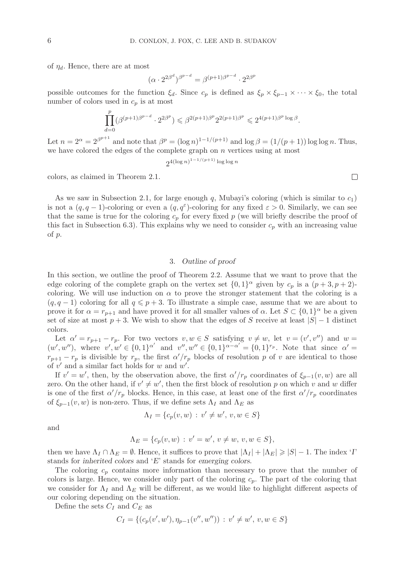of  $\eta_d$ . Hence, there are at most

$$
(\alpha \cdot 2^{2\beta^d})^{\beta^{p-d}} = \beta^{(p+1)\beta^{p-d}} \cdot 2^{2\beta^p}
$$

possible outcomes for the function  $\xi_d$ . Since  $c_p$  is defined as  $\xi_p \times \xi_{p-1} \times \cdots \times \xi_0$ , the total number of colors used in  $c_p$  is at most

$$
\prod_{d=0}^p (\beta^{(p+1)\beta^{p-d}} \cdot 2^{2\beta^p}) \leq \beta^{2(p+1)\beta^p} 2^{2(p+1)\beta^p} \leq 2^{4(p+1)\beta^p \log \beta}.
$$

Let  $n = 2^{\alpha} = 2^{\beta^{p+1}}$  and note that  $\beta^p = (\log n)^{1-1/(p+1)}$  and  $\log \beta = (1/(p+1)) \log \log n$ . Thus, we have colored the edges of the complete graph on  $n$  vertices using at most

 $2^{4(\log n)^{1-1/(p+1)}\log\log n}$ 

colors, as claimed in Theorem 2.1.

As we saw in Subsection 2.1, for large enough q, Mubayi's coloring (which is similar to  $c_1$ ) is not a  $(q, q - 1)$ -coloring or even a  $(q, q^{\epsilon})$ -coloring for any fixed  $\varepsilon > 0$ . Similarly, we can see that the same is true for the coloring  $c_p$  for every fixed p (we will briefly describe the proof of this fact in Subsection 6.3). This explains why we need to consider  $c_p$  with an increasing value of p.

# 3. *Outline of proof*

In this section, we outline the proof of Theorem 2.2. Assume that we want to prove that the edge coloring of the complete graph on the vertex set  $\{0,1\}^{\alpha}$  given by  $c_p$  is a  $(p+3, p+2)$ coloring. We will use induction on  $\alpha$  to prove the stronger statement that the coloring is a  $(q, q - 1)$  coloring for all  $q \leq p + 3$ . To illustrate a simple case, assume that we are about to prove it for  $\alpha = r_{p+1}$  and have proved it for all smaller values of  $\alpha$ . Let  $S \subset \{0,1\}^{\alpha}$  be a given set of size at most  $p + 3$ . We wish to show that the edges of S receive at least  $|S| - 1$  distinct colors.

Let  $\alpha' = r_{p+1} - r_p$ . For two vectors  $v, w \in S$  satisfying  $v \neq w$ , let  $v = (v', v'')$  and  $w = (v', w'')$  replace  $v' = (0, 1) \alpha'$  and  $v'' = (0, 1) \alpha - \alpha' = (0, 1) r_p$ . Note that since  $\alpha' = (0, 1) \alpha' = (0, 1) \alpha' = (0, 1) \alpha' = (0, 1) \alpha' = (0, 1) \alpha'$  $(w', w'')$ , where  $v', w' \in \{0, 1\}^{\alpha'}$  and  $v'', w'' \in \{0, 1\}^{\alpha - \alpha'} = \{0, 1\}^{r_p}$ . Note that since  $\alpha' =$  $r_{p+1} - r_p$  is divisible by  $r_p$ , the first  $\alpha'/r_p$  blocks of resolution p of v are identical to those of  $v'$  and a similar fact holds for  $w$  and  $w'$ .

If  $v' = w'$ , then, by the observation above, the first  $\alpha'/r_p$  coordinates of  $\xi_{p-1}(v, w)$  are all<br>ready the other hand, if  $\alpha' \neq w'$ , then the first block of resolution a on which y and y different zero. On the other hand, if  $v' \neq w'$ , then the first block of resolution p on which v and w differ is one of the first  $\alpha'/r_p$  blocks. Hence, in this case, at least one of the first  $\alpha'/r_p$  coordinates of  $\xi_{p-1}(v, w)$  is non-zero. Thus, if we define sets  $\Lambda_I$  and  $\Lambda_E$  as

$$
\Lambda_I = \{c_p(v, w) : v' \neq w', v, w \in S\}
$$

and

$$
\Lambda_E = \{c_p(v, w) : v' = w', v \neq w, v, w \in S\},\
$$

then we have  $\Lambda_I \cap \Lambda_E = \emptyset$ . Hence, it suffices to prove that  $|\Lambda_I| + |\Lambda_E| \geqslant |S| - 1$ . The index '*I*' stands for *inherited colors* and '*E*' stands for *emerging colors*.

The coloring  $c_p$  contains more information than necessary to prove that the number of colors is large. Hence, we consider only part of the coloring  $c_p$ . The part of the coloring that we consider for  $\Lambda_I$  and  $\Lambda_E$  will be different, as we would like to highlight different aspects of our coloring depending on the situation.

Define the sets  $C_I$  and  $C_E$  as

$$
C_I = \{ (c_p(v', w'), \eta_{p-1}(v'', w'')) : v' \neq w', v, w \in S \}
$$

 $\Box$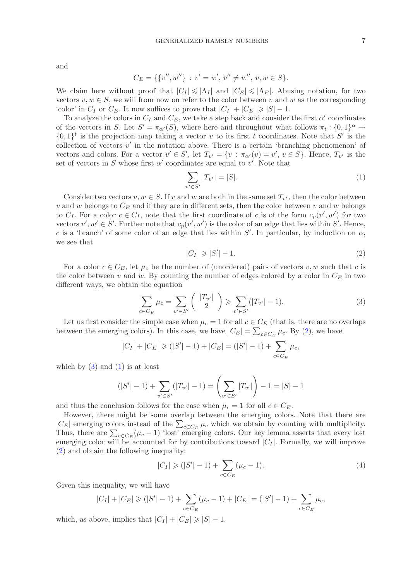and

$$
C_E = \{ \{v'', w''\} : v' = w', v'' \neq w'', v, w \in S \}.
$$

We claim here without proof that  $|C_I| \leq \vert \Lambda_I \vert$  and  $|C_E| \leq \vert \Lambda_E \vert$ . Abusing notation, for two vectors  $v, w \in S$ , we will from now on refer to the color between v and w as the corresponding 'color' in  $C_I$  or  $C_E$ . It now suffices to prove that  $|C_I| + |C_E| \geq |S| - 1$ .

To analyze the colors in  $C_I$  and  $C_E$ , we take a step back and consider the first  $\alpha'$  coordinates of the vectors in S. Let  $S' = \pi_{\alpha'}(S)$ , where here and throughout what follows  $\pi_t : \{0,1\}^{\alpha} \to$  $\{0,1\}^t$  is the projection map taking a vector v to its first t coordinates. Note that S' is the collection of vectors  $v'$  in the notation above. There is a certain 'branching phenomenon' of vectors and colors. For a vector  $v' \in S'$ , let  $T_{v'} = \{v : \pi_{\alpha'}(v) = v', v \in S\}$ . Hence,  $T_{v'}$  is the set of vectors in S whose first  $\alpha'$  coordinates are equal to v'. Note that

<span id="page-6-2"></span>
$$
\sum_{v' \in S'} |T_{v'}| = |S|.
$$
\n(1)

Consider two vectors  $v, w \in S$ . If v and w are both in the same set  $T_{v'}$ , then the color between v and w belongs to  $C_E$  and if they are in different sets, then the color between v and w belongs to  $C_I$ . For a color  $c \in C_I$ , note that the first coordinate of c is of the form  $c_p(v', w')$  for two vectors  $v', w' \in S'$ . Further note that  $c_p(v', w')$  is the color of an edge that lies within S'. Hence, c is a 'branch' of some color of an edge that lies within  $S'$ . In particular, by induction on  $\alpha$ , we see that

<span id="page-6-0"></span>
$$
|C_I| \geqslant |S'| - 1. \tag{2}
$$

For a color  $c \in C_E$ , let  $\mu_c$  be the number of (unordered) pairs of vectors v, w such that c is the color between v and w. By counting the number of edges colored by a color in  $C_E$  in two different ways, we obtain the equation

<span id="page-6-1"></span>
$$
\sum_{c \in C_E} \mu_c = \sum_{v' \in S'} \binom{|T_{v'}|}{2} \geqslant \sum_{v' \in S'} (|T_{v'}| - 1).
$$
\n(3)

Let us first consider the simple case when  $\mu_c = 1$  for all  $c \in C_E$  (that is, there are no overlaps between the emerging colors). In this case, we have  $|C_E| = \sum_{c \in C_E} \mu_c$ . By [\(2\)](#page-6-0), we have

$$
|C_I| + |C_E| \ge (|S'|-1) + |C_E| = (|S'|-1) + \sum_{c \in C_E} \mu_c,
$$

which by  $(3)$  and  $(1)$  is at least

$$
(|S'|-1) + \sum_{v' \in S'}(|T_{v'}|-1) = \left(\sum_{v' \in S'}|T_{v'}|\right) - 1 = |S| - 1
$$

and thus the conclusion follows for the case when  $\mu_c = 1$  for all  $c \in C_E$ .

However, there might be some overlap between the emerging colors. Note that there are  $|C_E|$  emerging colors instead of the  $\sum_{c \in C_E} \mu_c$  which we obtain by counting with multiplicity. Thus, there are  $\sum_{c \in C_E} (\mu_c - 1)$  'lost' emerging colors. Our key lemma asserts that every lost emerging color will be accounted for by contributions toward  $|C_I|$ . Formally, we will improve [\(2\)](#page-6-0) and obtain the following inequality:

<span id="page-6-3"></span>
$$
|C_I| \ge (|S'|-1) + \sum_{c \in C_E} (\mu_c - 1).
$$
 (4)

Given this inequality, we will have

$$
|C_I| + |C_E| \ge (|S'|-1) + \sum_{c \in C_E} (\mu_c - 1) + |C_E| = (|S'|-1) + \sum_{c \in C_E} \mu_c,
$$

which, as above, implies that  $|C_I| + |C_E| \geq |S| - 1$ .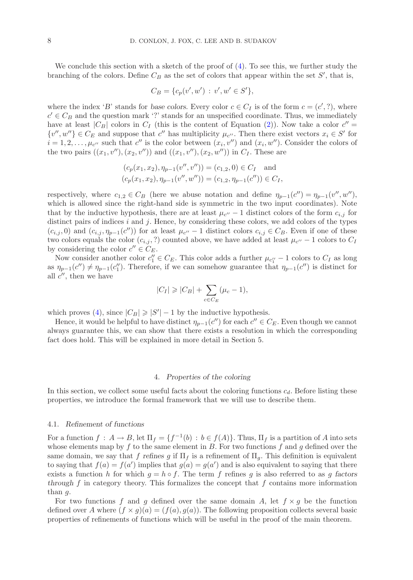We conclude this section with a sketch of the proof of  $(4)$ . To see this, we further study the branching of the colors. Define  $C_B$  as the set of colors that appear within the set  $S'$ , that is,

$$
C_B = \{c_p(v', w') : v', w' \in S'\},\
$$

where the index '*B*' stands for *base colors*. Every color  $c \in C_I$  is of the form  $c = (c', ?)$ , where  $c' \in C_B$  and the question mark '?' stands for an unspecified coordinate. Thus, we immediately have at least  $|C_B|$  colors in  $C_I$  (this is the content of Equation [\(2\)](#page-6-0)). Now take a color  $c'' =$  $\{v'', w''\} \in C_E$  and suppose that c'' has multiplicity  $\mu_{c''}$ . Then there exist vectors  $x_i \in S'$  for  $i = 1, 2, \ldots, \mu_{c''}$  such that  $c''$  is the color between  $(x_i, v'')$  and  $(x_i, w'')$ . Consider the colors of the two pairs  $((x_1, v''), (x_2, v''))$  and  $((x_1, v''), (x_2, w''))$  in  $C_I$ . These are

$$
(c_p(x_1, x_2), \eta_{p-1}(v'', v'')) = (c_{1,2}, 0) \in C_I \text{ and}
$$
  

$$
(c_p(x_1, x_2), \eta_{p-1}(v'', w'')) = (c_{1,2}, \eta_{p-1}(c'')) \in C_I,
$$

respectively, where  $c_{1,2} \in C_B$  (here we abuse notation and define  $\eta_{p-1}(c'') = \eta_{p-1}(v'', w'')$ , which is allowed since the wight hand side is symmetric in the two input secondinates). Note which is allowed since the right-hand side is symmetric in the two input coordinates). Note that by the inductive hypothesis, there are at least  $\mu_{c}$  – 1 distinct colors of the form  $c_{i,j}$  for distinct pairs of indices  $i$  and  $j$ . Hence, by considering these colors, we add colors of the types  $(c_{i,j}, 0)$  and  $(c_{i,j}, \eta_{p-1}(c''))$  for at least  $\mu_{c''} - 1$  distinct colors  $c_{i,j} \in C_B$ . Even if one of these two colors equals the color  $(c_{i,j}, ?)$  counted above, we have added at least  $\mu_{c}$  – 1 colors to  $C_I$ by considering the color  $c'' \in C_E$ .

Now consider another color  $c''_1 \in C_E$ . This color adds a further  $\mu_{c''_1} - 1$  colors to  $C_I$  as long<br> $n_{\text{ref}}(c'') \neq n_{\text{ref}}(c'')$ . Therefore, if we can somehow guarantee that  $n_{\text{ref}}(c'')$  is distinct for as  $\eta_{p-1}(c'') \neq \eta_{p-1}(c''_1)$ . Therefore, if we can somehow guarantee that  $\eta_{p-1}(c'')$  is distinct for all  $c''_1$  then we have all  $c''$ , then we have

$$
|C_I| \geqslant |C_B| + \sum_{c \in C_E} (\mu_c - 1),
$$

which proves [\(4\)](#page-6-3), since  $|C_B| \geq |S'|-1$  by the inductive hypothesis.

Hence, it would be helpful to have distinct  $\eta_{p-1}(c'')$  for each  $c' \in C_E$ . Even though we cannot always guarantee this, we can show that there exists a resolution in which the corresponding fact does hold. This will be explained in more detail in Section 5.

# 4. *Properties of the coloring*

In this section, we collect some useful facts about the coloring functions  $c_d$ . Before listing these properties, we introduce the formal framework that we will use to describe them.

## 4.1. *Refinement of functions*

For a function  $f : A \to B$ , let  $\Pi_f = \{f^{-1}(b) : b \in f(A)\}$ . Thus,  $\Pi_f$  is a partition of A into sets whose elements map by f to the same element in B. For two functions f and g defined over the same domain, we say that f refines g if  $\Pi_f$  is a refinement of  $\Pi_g$ . This definition is equivalent to saying that  $f(a) = f(a')$  implies that  $g(a) = g(a')$  and is also equivalent to saying that there exists a function h for which  $g = h \circ f$ . The term f refines g is also referred to as g factors *through*  $f$  in category theory. This formalizes the concept that  $f$  contains more information than g.

For two functions f and g defined over the same domain A, let  $f \times g$  be the function defined over A where  $(f \times g)(a) = (f(a), g(a))$ . The following proposition collects several basic properties of refinements of functions which will be useful in the proof of the main theorem.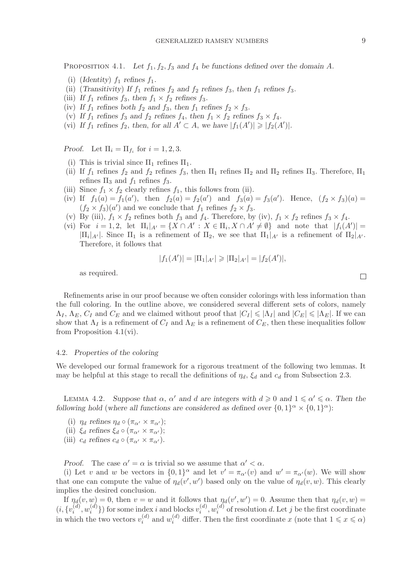PROPOSITION 4.1. Let  $f_1, f_2, f_3$  and  $f_4$  be functions defined over the domain A.

- (i) (*Identity*)  $f_1$  *refines*  $f_1$ *.*
- (ii) (*Transitivity*) If  $f_1$  *refines*  $f_2$  *and*  $f_2$  *refines*  $f_3$ *, then*  $f_1$  *refines*  $f_3$ *.*
- (iii) If  $f_1$  refines  $f_3$ , then  $f_1 \times f_2$  refines  $f_3$ .
- (iv) If  $f_1$  refines both  $f_2$  and  $f_3$ , then  $f_1$  refines  $f_2 \times f_3$ .
- (v) If  $f_1$  *refines*  $f_3$  *and*  $f_2$  *refines*  $f_4$ *, then*  $f_1 \times f_2$  *refines*  $f_3 \times f_4$ *.*
- (vi) If  $f_1$  refines  $f_2$ , then, for all  $A' \subset A$ , we have  $|f_1(A')| \geq |f_2(A')|$ .

*Proof.* Let  $\Pi_i = \Pi_{f_i}$  for  $i = 1, 2, 3$ .

- (i) This is trivial since  $\Pi_1$  refines  $\Pi_1$ .
- (ii) If  $f_1$  refines  $f_2$  and  $f_2$  refines  $f_3$ , then  $\Pi_1$  refines  $\Pi_2$  and  $\Pi_2$  refines  $\Pi_3$ . Therefore,  $\Pi_1$ refines  $\Pi_3$  and  $f_1$  refines  $f_3$ .
- (iii) Since  $f_1 \times f_2$  clearly refines  $f_1$ , this follows from (ii).
- (iv) If  $f_1(a) = f_1(a')$ , then  $f_2(a) = f_2(a')$  and  $f_3(a) = f_3(a')$ . Hence,  $(f_2 \times f_3)(a) =$ <br> $(f_1 \times f_1)(a')$  and we conclude that f refines  $f_2 \times f_3$ .  $(f_2 \times f_3)(a')$  and we conclude that  $f_1$  refines  $f_2 \times f_3$ .<br>By (iii)  $f \times f$  refines both f and f. Therefore hyper-
- (v) By (iii),  $f_1 \times f_2$  refines both  $f_3$  and  $f_4$ . Therefore, by (iv),  $f_1 \times f_2$  refines  $f_3 \times f_4$ .
- (vi) For  $i = 1, 2$ , let  $\Pi_i|_{A'} = \{X \cap A' : X \in \Pi_i, X \cap A' \neq \emptyset\}$  and note that  $|f_i(A')| =$  $|\Pi_i|_{A'}|$ . Since  $\Pi_1$  is a refinement of  $\Pi_2$ , we see that  $\Pi_1|_{A'}$  is a refinement of  $\Pi_2|_{A'}$ .<br>Therefore it follows that Therefore, it follows that

$$
|f_1(A')| = |\Pi_1|_{A'}| \ge |\Pi_2|_{A'}| = |f_2(A')|,
$$

as required.

Refinements arise in our proof because we often consider colorings with less information than the full coloring. In the outline above, we considered several different sets of colors, namely  $\Lambda_I$ ,  $\Lambda_E$ ,  $C_I$  and  $C_E$  and we claimed without proof that  $|C_I| \leq \Lambda_I$  and  $|C_E| \leq \Lambda_E$ . If we can show that  $\Lambda_I$  is a refinement of  $C_I$  and  $\Lambda_E$  is a refinement of  $C_E$ , then these inequalities follow from Proposition 4.1(vi).

#### 4.2. *Properties of the coloring*

We developed our formal framework for a rigorous treatment of the following two lemmas. It may be helpful at this stage to recall the definitions of  $\eta_d$ ,  $\xi_d$  and  $c_d$  from Subsection 2.3.

LEMMA 4.2. Suppose that  $\alpha$ ,  $\alpha'$  and d are integers with  $d \geq 0$  and  $1 \leq \alpha' \leq \alpha$ . Then the *following hold* (*where all functions are considered as defined over*  $\{0,1\}^{\alpha}\times\{0,1\}^{\alpha}$ ):

- (i)  $\eta_d$  refines  $\eta_d \circ (\pi_{\alpha'} \times \pi_{\alpha'})$ ;
- (ii)  $\xi_d$  *refines*  $\xi_d \circ (\pi_{\alpha'} \times \pi_{\alpha'})$ ;
- (iii)  $c_d$  *refines*  $c_d \circ (\pi_{\alpha'} \times \pi_{\alpha'})$ .

*Proof.* The case  $\alpha' = \alpha$  is trivial so we assume that  $\alpha' < \alpha$ .

(i) Let v and w be vectors in  $\{0,1\}^\alpha$  and let  $v' = \pi_{\alpha'}(v)$  and  $w' = \pi_{\alpha'}(w)$ . We will show that one can compute the value of  $\eta_d(v', w')$  based only on the value of  $\eta_d(v, w)$ . This clearly implies the desired conclusion.

If  $\eta_d(v, w) = 0$ , then  $v = w$  and it follows that  $\eta_d(v', w') = 0$ . Assume then that  $\eta_d(v, w) = 0$  $(i, \{v_i^{(d)}, w_i^{(d)}\})$  for some index i and blocks  $v_i^{(d)}, w_i^{(d)}$  of resolution d. Let j be the first coordinate in which the two vectors  $v_i^{(d)}$  and  $w_i^{(d)}$  differ. Then the first coordinate x (note that  $1 \leqslant x \leqslant \alpha$ )

 $\Box$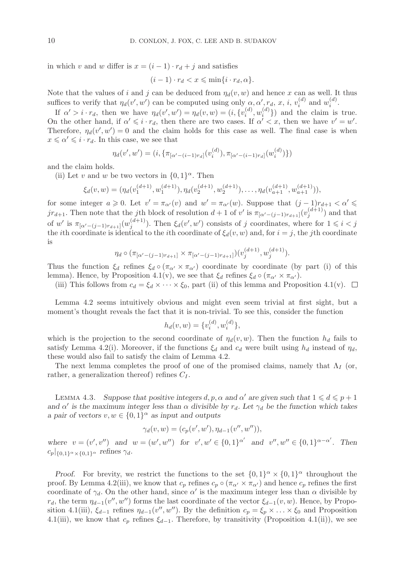in which v and w differ is  $x = (i - 1) \cdot r_d + j$  and satisfies

$$
(i-1)\cdot r_d < x \leqslant \min\{i\cdot r_d, \alpha\}.
$$

Note that the values of i and j can be deduced from  $\eta_d(v, w)$  and hence x can as well. It thus suffices to verify that  $\eta_d(v', w')$  can be computed using only  $\alpha, \alpha', r_d, x, i, v_i^{(d)}$  and  $w_i^{(d)}$ .

If  $\alpha' > i \cdot r_d$ , then we have  $\eta_d(v', w') = \eta_d(v, w) = (i, \{v_i^{(d)}, w_i^{(d)}\})$  and the claim is true. On the other hand, if  $\alpha' \leq i \cdot r_d$ , then there are two cases. If  $\alpha' < x$ , then we have  $v' = w'$ . Therefore,  $\eta_d(v', w') = 0$  and the claim holds for this case as well. The final case is when  $x \leq \alpha' \leq i \cdot r_d$ . In this case, we see that

$$
\eta_d(v', w') = (i, \{\pi_{[\alpha' - (i-1)r_d]}(v_i^{(d)}), \pi_{[\alpha' - (i-1)r_d]}(w_i^{(d)})\})
$$

and the claim holds.

(ii) Let v and w be two vectors in  $\{0, 1\}^{\alpha}$ . Then

$$
\xi_d(v,w) = (\eta_d(v_1^{(d+1)}, w_1^{(d+1)}), \eta_d(v_2^{(d+1)}, w_2^{(d+1)}), \dots, \eta_d(v_{a+1}^{(d+1)}, w_{a+1}^{(d+1)})),
$$

for some integer  $a \ge 0$ . Let  $v' = \pi_{\alpha'}(v)$  and  $w' = \pi_{\alpha'}(w)$ . Suppose that  $(j-1)r_{d+1} < \alpha' \le$  $j r_{d+1}$ . Then note that the jth block of resolution  $d+1$  of v' is  $\pi_{[\alpha'-(j-1)r_{d+1}]}(v_j^{(d+1)})$  and that of w' is  $\pi_{[\alpha'-(j-1)r_{d+1}]}(w_j^{(d+1)})$ . Then  $\xi_d(v', w')$  consists of j coordinates, where for  $1 \le i \le j$ <br>the it hespectation is identical to the it he coordinate of  $\xi_i(v, w)$  and for  $i = i$ , the it hespectation the *i*th coordinate is identical to the *i*th coordinate of  $\xi_d(v, w)$  and, for  $i = j$ , the *j*th coordinate is

$$
\eta_d \circ (\pi_{[\alpha'-(j-1)r_{d+1}]} \times \pi_{[\alpha'-(j-1)r_{d+1}]})(v_j^{(d+1)}, w_j^{(d+1)}).
$$

Thus the function  $\xi_d$  refines  $\xi_d \circ (\pi_{\alpha'} \times \pi_{\alpha'})$  coordinate by coordinate (by part (i) of this lemma). Hence, by Proposition 4.1(v), we see that  $\xi_d$  refines  $\xi_d \circ (\pi_{\alpha'} \times \pi_{\alpha'})$ .

(iii) This follows from  $c_d = \xi_d \times \cdots \times \xi_0$ , part (ii) of this lemma and Proposition 4.1(v).  $\Box$ 

Lemma 4.2 seems intuitively obvious and might even seem trivial at first sight, but a moment's thought reveals the fact that it is non-trivial. To see this, consider the function

$$
h_d(v, w) = \{v_i^{(d)}, w_i^{(d)}\},\
$$

which is the projection to the second coordinate of  $\eta_d(v, w)$ . Then the function  $h_d$  fails to satisfy Lemma 4.2(i). Moreover, if the functions  $\xi_d$  and  $c_d$  were built using  $h_d$  instead of  $\eta_d$ , these would also fail to satisfy the claim of Lemma 4.2.

The next lemma completes the proof of one of the promised claims, namely that  $\Lambda_I$  (or, rather, a generalization thereof) refines  $C_I$ .

LEMMA 4.3. Suppose that positive integers  $d, p, \alpha$  and  $\alpha'$  are given such that  $1 \leq d \leq p + 1$ and  $\alpha'$  is the maximum integer less than  $\alpha$  divisible by  $r_d$ . Let  $\gamma_d$  be the function which takes *a pair of vectors*  $v, w \in \{0, 1\}^\alpha$  *as input and outputs* 

$$
\gamma_d(v, w) = (c_p(v', w'), \eta_{d-1}(v'', w'')),
$$

where  $v = (v', v'')$  and  $w = (w', w'')$  for  $v', w' \in \{0, 1\}^{\alpha'}$  and  $v'', w'' \in \{0, 1\}^{\alpha - \alpha'}$ . Then  $c_p|_{\{0,1\}^\alpha \times \{0,1\}^\alpha}$  *refines*  $\gamma_d$ .

*Proof.* For brevity, we restrict the functions to the set  $\{0,1\}^\alpha \times \{0,1\}^\alpha$  throughout the proof. By Lemma 4.2(iii), we know that  $c_p$  refines  $c_p \circ (\pi_{\alpha'} \times \pi_{\alpha'})$  and hence  $c_p$  refines the first coordinate of  $\gamma_d$ . On the other hand, since  $\alpha'$  is the maximum integer less than  $\alpha$  divisible by  $r_d$ , the term  $\eta_{d-1}(v'', w'')$  forms the last coordinate of the vector  $\xi_{d-1}(v, w)$ . Hence, by Propo-<br>sition 4.1(iii)  $\xi$  referses  $x_{d-1}(w'', w'')$ . By the definition  $\xi$  of the local Dependition sition 4.1(iii),  $\xi_{d-1}$  refines  $\eta_{d-1}(v'', w'')$ . By the definition  $c_p = \xi_p \times \ldots \times \xi_0$  and Proposition<br>4.1(iii), we linew that e upfines for Theoretons by transitivity (Proposition 4.1(iii)), we see 4.1(iii), we know that  $c_p$  refines  $\xi_{d-1}$ . Therefore, by transitivity (Proposition 4.1(ii)), we see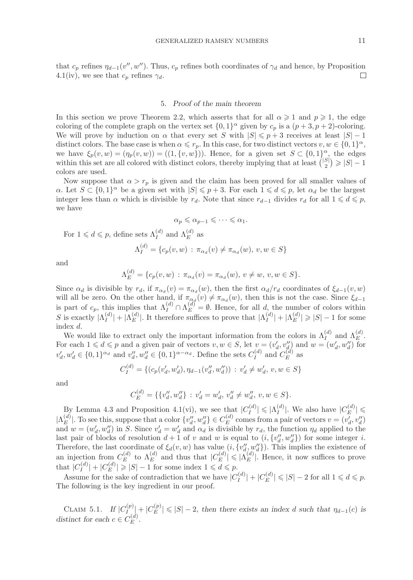that  $c_p$  refines  $\eta_{d-1}(v'', w'')$ . Thus,  $c_p$  refines both coordinates of  $\gamma_d$  and hence, by Proposition 4.1(iv), we see that  $c_p$  refines  $\gamma_d$ .  $\Box$ 

## 5. *Proof of the main theorem*

In this section we prove Theorem 2.2, which asserts that for all  $\alpha \geq 1$  and  $p \geq 1$ , the edge coloring of the complete graph on the vertex set  $\{0, 1\}^{\alpha}$  given by  $c_p$  is a  $(p+3, p+2)$ -coloring. We will prove by induction on  $\alpha$  that every set S with  $|S| \leq p+3$  receives at least  $|S|-1$ distinct colors. The base case is when  $\alpha \leq r_p$ . In this case, for two distinct vectors  $v, w \in \{0, 1\}^{\alpha}$ , we have  $\xi_p(v, w) = (\eta_p(v, w)) = ((1, \{v, w\}))$ . Hence, for a given set  $S \subset \{0, 1\}^{\alpha}$ , the edges within this set are all colored with distinct colors, thereby implying that at least  $\binom{|S|}{2} \geqslant |S| - 1$ colors are used.

Now suppose that  $\alpha > r_p$  is given and the claim has been proved for all smaller values of  $\alpha$ . Let  $S \subset \{0,1\}^{\alpha}$  be a given set with  $|S| \leqslant p+3$ . For each  $1 \leqslant d \leqslant p$ , let  $\alpha_d$  be the largest integer less than  $\alpha$  which is divisible by  $r_d$ . Note that since  $r_{d-1}$  divides  $r_d$  for all  $1 \leq d \leq p$ , we have

$$
\alpha_p \leqslant \alpha_{p-1} \leqslant \cdots \leqslant \alpha_1.
$$

For  $1 \leqslant d \leqslant p$ , define sets  $\Lambda_I^{(d)}$  and  $\Lambda_E^{(d)}$  as

$$
\Lambda_I^{(d)} = \{c_p(v, w) : \pi_{\alpha_d}(v) \neq \pi_{\alpha_d}(w), v, w \in S\}
$$

and

$$
\Lambda_E^{(d)} = \{c_p(v, w) : \pi_{\alpha_d}(v) = \pi_{\alpha_d}(w), v \neq w, v, w \in S\}.
$$

Since  $\alpha_d$  is divisible by  $r_d$ , if  $\pi_{\alpha_d}(v) = \pi_{\alpha_d}(w)$ , then the first  $\alpha_d/r_d$  coordinates of  $\xi_{d-1}(v, w)$ will all be zero. On the other hand, if  $\pi_{\alpha_d}(v) \neq \pi_{\alpha_d}(w)$ , then this is not the case. Since  $\xi_{d-1}$  is part of  $c_p$ , this implies that  $\Lambda_I^{(d)} \cap \Lambda_E^{(d)} = \emptyset$ . Hence, for all d, the number of colors within S is exactly  $|\Lambda_I^{(d)}| + |\Lambda_E^{(d)}|$ . It therefore suffices to prove that  $|\Lambda_I^{(d)}| + |\Lambda_E^{(d)}| \geq |S| - 1$  for some index d.

We would like to extract only the important information from the colors in  $\Lambda_I^{(d)}$  and  $\Lambda_E^{(d)}$ . For each  $1 \leq d \leq p$  and a given pair of vectors  $v, w \in S$ , let  $v = (v'_d, v''_d)$  and  $w = (w'_d, w''_d)$  for  $v'_d, w'_d \in \{0,1\}^{\alpha_d}$  and  $v''_d, w''_d \in \{0,1\}^{\alpha-\alpha_d}$ . Define the sets  $C_I^{(d)}$  and  $C_E^{(d)}$  as

$$
C_I^{(d)} = \{ (c_p(v'_d, w'_d), \eta_{d-1}(v''_d, w''_d)) : v'_d \neq w'_d, v, w \in S \}
$$

and

$$
C_E^{(d)} = \{ \{v''_d, w''_d\} : v'_d = w'_d, v''_d \neq w''_d, v, w \in S \}.
$$

By Lemma 4.3 and Proposition 4.1(vi), we see that  $|C_I^{(d)}| \leqslant |\Lambda_I^{(d)}|$ . We also have  $|C_E^{(d)}| \leqslant$  $|\Lambda_E^{(d)}|$ . To see this, suppose that a color  $\{v''_d, w''_d\} \in C_E^{(d)}$  comes from a pair of vectors  $v = (v'_d, v''_d)$ and  $w = (w'_d, w''_d)$  in S. Since  $v'_d = w'_d$  and  $\alpha_d$  is divisible by  $r_d$ , the function  $\eta_d$  applied to the last pair of blocks of resolution  $d+1$  of v and w is equal to  $(i, \{v''_d, w''_d\})$  for some integer i. Therefore, the last coordinate of  $\xi_d(v, w)$  has value  $(i, \{v''_d, w''_d\})$ . This implies the existence of an injection from  $C_E^{(d)}$  to  $\Lambda_E^{(d)}$  and thus that  $|C_E^{(d)}| \leqslant |\Lambda_E^{(d)}|$ . Hence, it now suffices to prove that  $|C_I^{(d)}| + |C_E^{(d)}| \ge |S| - 1$  for some index  $1 \le a \le p$ .

Assume for the sake of contradiction that we have  $|C_I^{(d)}| + |C_E^{(d)}| \leqslant |S| - 2$  for all  $1 \leqslant d \leqslant p$ . The following is the key ingredient in our proof.

CLAIM 5.1. *If*  $|C_I^{(p)}| + |C_E^{(p)}| \le |S| - 2$ , then there exists an index d such that  $\eta_{d-1}(c)$  is distinct for each  $c \in C_E^{(d)}$ .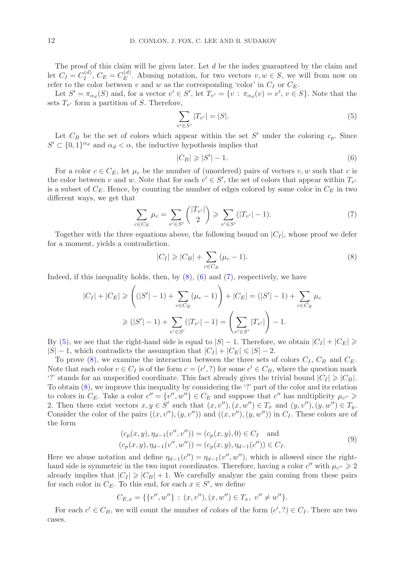The proof of this claim will be given later. Let d be the index guaranteed by the claim and let  $C_I = C_I^{(d)}$ ,  $C_E = C_E^{(d)}$ . Abusing notation, for two vectors  $v, w \in S$ , we will from now on refer to the color between v and w as the corresponding 'color' in  $C_I$  or  $C_E$ .

Let  $S' = \pi_{\alpha_d}(S)$  and, for a vector  $v' \in S'$ , let  $T_{v'} = \{v : \pi_{\alpha_d}(v) = v', v \in S\}$ . Note that the sets  $T_{v'}$  form a partition of S. Therefore,

<span id="page-11-3"></span>
$$
\sum_{v' \in S'} |T_{v'}| = |S|.
$$
\n(5)

Let  $C_B$  be the set of colors which appear within the set S' under the coloring  $c_p$ . Since  $S' \subset \{0,1\}^{\alpha_d}$  and  $\alpha_d < \alpha$ , the inductive hypothesis implies that

<span id="page-11-1"></span>
$$
|C_B| \geqslant |S'| - 1. \tag{6}
$$

For a color  $c \in C_E$ , let  $\mu_c$  be the number of (unordered) pairs of vectors  $v, w$  such that c is the color between v and w. Note that for each  $v' \in S'$ , the set of colors that appear within  $T_{v'}$ is a subset of  $C_E$ . Hence, by counting the number of edges colored by some color in  $C_E$  in two different ways, we get that

<span id="page-11-2"></span>
$$
\sum_{c \in C_E} \mu_c = \sum_{v' \in S'} \binom{|T_{v'}|}{2} \geqslant \sum_{v' \in S'} (|T_{v'}| - 1). \tag{7}
$$

Together with the three equations above, the following bound on  $|C_I|$ , whose proof we defer for a moment, yields a contradiction.

<span id="page-11-0"></span>
$$
|C_I| \geq |C_B| + \sum_{c \in C_E} (\mu_c - 1). \tag{8}
$$

Indeed, if this inequality holds, then, by  $(8)$ ,  $(6)$  and  $(7)$ , respectively, we have

$$
|C_I| + |C_E| \geqslant \left( (|S'|-1) + \sum_{c \in C_E} (\mu_c - 1) \right) + |C_E| = (|S'|-1) + \sum_{c \in C_E} \mu_c
$$
  

$$
\geqslant (|S'|-1) + \sum_{v' \in S'} (|T_{v'}|-1) = \left( \sum_{v' \in S'} |T_{v'}| \right) - 1.
$$

By [\(5\)](#page-11-3), we see that the right-hand side is equal to  $|S| - 1$ . Therefore, we obtain  $|C_I| + |C_E| \ge$  $|S| - 1$ , which contradicts the assumption that  $|C_I| + |C_E| \leq |S| - 2$ .

To prove [\(8\)](#page-11-0), we examine the interaction between the three sets of colors  $C_I$ ,  $C_B$  and  $C_E$ . Note that each color  $c \in C_I$  is of the form  $c = (c', ?)$  for some  $c' \in C_B$ , where the question mark '?' stands for an unspecified coordinate. This fact already gives the trivial bound  $|C_I| \geqslant |C_B|$ . To obtain [\(8\)](#page-11-0), we improve this inequality by considering the '?' part of the color and its relation to colors in  $C_E$ . Take a color  $c'' = \{v'', w''\} \in C_E$  and suppose that  $c''$  has multiplicity  $\mu_{c''} \geq$ 2. Then there exist vectors  $x, y \in S'$  such that  $(x, v''), (x, w'') \in T_x$  and  $(y, v''), (y, w'') \in T_y$ . Consider the color of the pairs  $((x, v''), (y, v''))$  and  $((x, v''), (y, w''))$  in  $C_I$ . These colors are of the form

$$
(c_p(x, y), \eta_{d-1}(v'', v'')) = (c_p(x, y), 0) \in C_I \text{ and}
$$
  

$$
(c_p(x, y), \eta_{d-1}(v'', w'')) = (c_p(x, y), \eta_{d-1}(c'')) \in C_I.
$$
  
(9)

<span id="page-11-4"></span>Here we abuse notation and define  $\eta_{d-1}(c'') = \eta_{d-1}(v'', w'')$ , which is allowed since the right-<br>hand side is summatrie in the two input coordinates. Therefore, begins a solen s'' with  $\mu \to 2$ hand side is symmetric in the two input coordinates. Therefore, having a color  $c''$  with  $\mu_{c''} \geq 2$ already implies that  $|C_I| \geq |C_B| + 1$ . We carefully analyze the gain coming from these pairs for each color in  $C_E$ . To this end, for each  $x \in S'$ , we define

$$
C_{E,x} = \{ \{v'', w''\} : (x, v''), (x, w'') \in T_x, v'' \neq w'' \}.
$$

For each  $c' \in C_B$ , we will count the number of colors of the form  $(c', ?) \in C_I$ . There are two cases.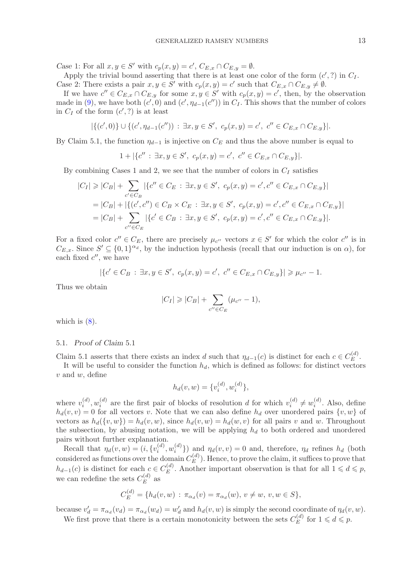Case 1: For all  $x, y \in S'$  with  $c_p(x, y) = c'$ ,  $C_{E,x} \cap C_{E,y} = \emptyset$ .

Apply the trivial bound asserting that there is at least one color of the form  $(c', ?)$  in  $C_I$ . *Case* 2: There exists a pair  $x, y \in S'$  with  $c_p(x, y) = c'$  such that  $C_{E,x} \cap C_{E,y} \neq \emptyset$ .

If we have  $c'' \in C_{E,x} \cap C_{E,y}$  for some  $x, y \in S'$  with  $c_p(x,y) = c'$ , then, by the observation made in [\(9\)](#page-11-4), we have both  $(c', 0)$  and  $(c', \eta_{d-1}(c''))$  in  $C_I$ . This shows that the number of colors in  $C_{\sigma}$  of the form  $(c', 2)$  is at least in  $C_I$  of the form  $(c', ?)$  is at least

$$
|\{(c',0)\}\cup\{(c',\eta_{d-1}(c'')):\exists x,y\in S',\ c_p(x,y)=c',\ c''\in C_{E,x}\cap C_{E,y}\}|.
$$

By Claim 5.1, the function  $\eta_{d-1}$  is injective on  $C_E$  and thus the above number is equal to

$$
1 + |\{c'': \exists x, y \in S', c_p(x, y) = c', c'' \in C_{E,x} \cap C_{E,y}\}|.
$$

By combining Cases 1 and 2, we see that the number of colors in  $C_I$  satisfies

$$
|C_I| \geq |C_B| + \sum_{c' \in C_B} |\{c'' \in C_E : \exists x, y \in S', c_p(x, y) = c', c'' \in C_{E,x} \cap C_{E,y}\}|
$$
  
=  $|C_B| + |\{(c', c'') \in C_B \times C_E : \exists x, y \in S', c_p(x, y) = c', c'' \in C_{E,x} \cap C_{E,y}\}|$   
=  $|C_B| + \sum_{c'' \in C_E} |\{c' \in C_B : \exists x, y \in S', c_p(x, y) = c', c'' \in C_{E,x} \cap C_{E,y}\}|.$ 

For a fixed color  $c'' \in C_E$ , there are precisely  $\mu_{c''}$  vectors  $x \in S'$  for which the color  $c''$  is in  $C_{E,x}$ . Since  $S' \subseteq \{0,1\}^{\alpha_d}$ , by the induction hypothesis (recall that our induction is on  $\alpha$ ), for each fixed  $c''$ , we have

$$
|\{c' \in C_B : \exists x, y \in S', c_p(x,y) = c', c'' \in C_{E,x} \cap C_{E,y}\}| \geq \mu_{c''} - 1.
$$

Thus we obtain

$$
|C_I| \geq |C_B| + \sum_{c'' \in C_E} (\mu_{c''} - 1),
$$

which is  $(8)$ .

#### 5.1. *Proof of Claim* 5.1

Claim 5.1 asserts that there exists an index d such that  $\eta_{d-1}(c)$  is distinct for each  $c \in C_E^{(d)}$ .<br>It will be useful to consider the function by which is defined as follows for distinct vectors.

It will be useful to consider the function  $h_d$ , which is defined as follows: for distinct vectors  $v$  and  $w$ , define

$$
h_d(v, w) = \{v_i^{(d)}, w_i^{(d)}\},\
$$

where  $v_i^{(d)}$ ,  $w_i^{(d)}$  are the first pair of blocks of resolution d for which  $v_i^{(d)} \neq w_i^{(d)}$ . Also, define  $h_d(v, v) = 0$  for all vectors v. Note that we can also define  $h_d$  over unordered pairs  $\{v, w\}$  of vectors as  $h_d(\{v, w\}) = h_d(v, w)$ , since  $h_d(v, w) = h_d(w, v)$  for all pairs v and w. Throughout the subsection, by abusing notation, we will be applying  $h_d$  to both ordered and unordered pairs without further explanation.

Recall that  $\eta_d(v, w) = (i, \{v_i^{(d)}, w_i^{(d)}\})$  and  $\eta_d(v, v) = 0$  and, therefore,  $\eta_d$  refines  $h_d$  (both considered as functions over the domain  $C_E^{(d)}$ . Hence, to prove the claim, it suffices to prove that  $h_{d-1}(c)$  is distinct for each  $c \in C_E^{(d)}$ . Another important observation is that for all  $1 \leq d \leq p$ , we can redefine the sets  $C_E^{(d)}$  as

$$
C_E^{(d)} = \{h_d(v, w) : \pi_{\alpha_d}(v) = \pi_{\alpha_d}(w), v \neq w, v, w \in S\},\
$$

because  $v'_d = \pi_{\alpha_d}(v_d) = \pi_{\alpha_d}(w_d) = w'_d$  and  $h_d(v, w)$  is simply the second coordinate of  $\eta_d(v, w)$ . We first prove that there is a certain monotonicity between the sets  $C_E^{(d)}$  for  $1 \leqslant d \leqslant p$ .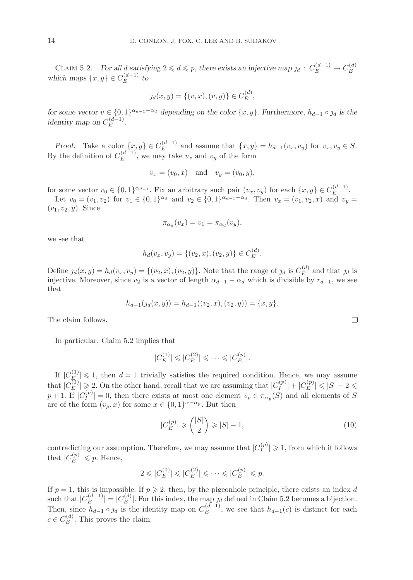CLAIM 5.2. *For all d satisfying*  $2 \le d \le p$ , *there exists an injective map*  $j_d : C_E^{(d-1)} \to C_E^{(d)}$  which maps  $\{x, y\} \in C_E^{(d-1)}$  to

$$
y_d(x, y) = \{(v, x), (v, y)\} \in C_E^{(d)},
$$

*for some vector*  $v \in \{0, 1\}^{\alpha_{d-1} - \alpha_d}$  depending on the color  $\{x, y\}$ . Furthermore,  $h_{d-1} \circ j_d$  is the identity map on  $C_E^{(d-1)}$ .

*Proof.* Take a color  $\{x, y\} \in C_E^{(d-1)}$  and assume that  $\{x, y\} = h_{d-1}(v_x, v_y)$  for  $v_x, v_y \in S$ .<br>By the definition of  $C_E^{(d-1)}$ , we may take  $v_x$  and  $v_y$  of the form

$$
v_x = (v_0, x)
$$
 and  $v_y = (v_0, y)$ ,

for some vector  $v_0 \in \{0,1\}^{\alpha_{d-1}}$ . Fix an arbitrary such pair  $(v_x, v_y)$  for each  $\{x, y\} \in C_E^{(d-1)}$ .<br>Let  $v_x = (v_x, v_y)$  for  $v_y \in [0, 1]^{d}$  and  $v_y \in [0, 1]^{d-1} = \alpha_d$ . Then  $v_y = (v_y, v_y)$  and  $v_y$ .

Let  $v_0 = (v_1, v_2)$  for  $v_1 \in \{0, 1\}^{\alpha_d}$  and  $v_2 \in \{0, 1\}^{\alpha_{d-1} - \alpha_d}$ . Then  $v_x = (v_1, v_2, x)$  and  $v_y =$  $(v_1, v_2, y)$ . Since

$$
\pi_{\alpha_d}(v_x) = v_1 = \pi_{\alpha_d}(v_y),
$$

we see that

$$
h_d(v_x, v_y) = \{(v_2, x), (v_2, y)\} \in C_E^{(d)}.
$$

Define  $g_d(x, y) = h_d(v_x, v_y) = \{(v_2, x), (v_2, y)\}\.$  Note that the range of  $g_d$  is  $C_d^{(d)}$  and that  $g_d$  is<br>injective. Moreover, since  $y$  is a vector of length  $g_u$ , which is divisible by r. injective. Moreover, since  $v_2$  is a vector of length  $\alpha_{d-1} - \alpha_d$  which is divisible by  $r_{d-1}$ , we see that

$$
h_{d-1}(j_d(x,y)) = h_{d-1}((v_2,x),(v_2,y)) = \{x,y\}.
$$

The claim follows.

In particular, Claim 5.2 implies that

$$
|C_E^{(1)}| \leq |C_E^{(2)}| \leq \cdots \leq |C_E^{(p)}|.
$$

If  $|C_{E_i}^{(1)}| \leq 1$ , then  $d = 1$  trivially satisfies the required condition. Hence, we may assume that  $|C_E^{(1)}| \geqslant 2$ . On the other hand, recall that we are assuming that  $|C_I^{(p)}| + |C_E^{(p)}| \leqslant |S| - 2 \leqslant 2$  $p+1$ . If  $|C_I^{(p)}|=0$ , then there exists at most one element  $v_p \in \pi_{\alpha_p}(S)$  and all elements of S are of the form  $(v_p, x)$  for some  $x \in \{0, 1\}^{\alpha - \alpha_p}$ . But then

<span id="page-13-0"></span>
$$
|C_E^{(p)}| \geqslant \binom{|S|}{2} \geqslant |S| - 1,\tag{10}
$$

contradicting our assumption. Therefore, we may assume that  $|C_I^{(p)}| \geq 1$ , from which it follows that  $|C_E^{(p)}| \leq p$ . Hence,

$$
2 \leqslant |C_E^{(1)}| \leqslant |C_E^{(2)}| \leqslant \cdots \leqslant |C_E^{(p)}| \leqslant p.
$$

If  $p = 1$ , this is impossible. If  $p \ge 2$ , then, by the pigeonhole principle, there exists an index d such that  $|C_E^{(d-1)}| = |C_E^{(d)}|$ . For this index, the map  $j_d$  defined in Claim 5.2 becomes a bijection. Then, since  $h_{d-1} \circ \jmath_d$  is the identity map on  $C_E^{(d-1)}$ , we see that  $h_{d-1}(c)$  is distinct for each  $\sigma_{\mathcal{L}}^{(d)}$ .  $c \in C_E^{(d)}$ . This proves the claim.

 $\Box$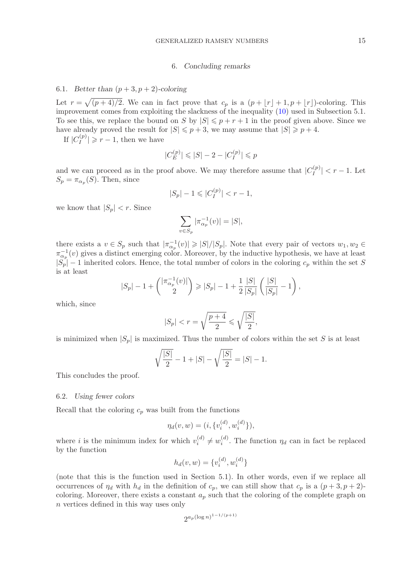#### 6. *Concluding remarks*

# 6.1. *Better than*  $(p+3, p+2)$ -coloring

Let  $r = \sqrt{(p+4)/2}$ . We can in fact prove that  $c_p$  is a  $(p + \lfloor r \rfloor + 1, p + \lfloor r \rfloor)$ -coloring. This improvement comes from exploiting the slackness of the inequality [\(10\)](#page-13-0) used in Subsection 5.1. To see this, we replace the bound on S by  $|S| \leq p + r + 1$  in the proof given above. Since we have already proved the result for  $|S| \leq p+3$ , we may assume that  $|S| \geq p+4$ .

If  $|C_I^{(p)}| \geq r-1$ , then we have

$$
|C_E^{(p)}| \leqslant |S|-2-|C_I^{(p)}| \leqslant p
$$

and we can proceed as in the proof above. We may therefore assume that  $|C_I^{(p)}| < r - 1$ . Let  $S_p = \pi_{\alpha_p}(S)$ . Then, since

$$
|S_p| - 1 \leqslant |C_I^{(p)}| < r - 1,
$$

we know that  $|S_p| < r$ . Since

$$
\sum_{v \in S_p} |\pi_{\alpha_p}^{-1}(v)| = |S|,
$$

there exists a  $v \in S_p$  such that  $|\pi_{\alpha_p}^{-1}(v)| \geqslant |S|/|S_p|$ . Note that every pair of vectors  $w_1, w_2 \in S_p$  $\pi_{\alpha_p}^{-1}(v)$  gives a distinct emerging color. Moreover, by the inductive hypothesis, we have at least  $|S_p|$  – 1 inherited colors. Hence, the total number of colors in the coloring  $c_p$  within the set S is at least

$$
|S_p| - 1 + \binom{|\pi_{\alpha_p}^{-1}(v)|}{2} \geq |S_p| - 1 + \frac{1}{2} \frac{|S|}{|S_p|} \left(\frac{|S|}{|S_p|} - 1\right),
$$

which, since

$$
|S_p| < r = \sqrt{\frac{p+4}{2}} \leqslant \sqrt{\frac{|S|}{2}},
$$

is minimized when  $|S_p|$  is maximized. Thus the number of colors within the set S is at least

$$
\sqrt{\frac{|S|}{2}} - 1 + |S| - \sqrt{\frac{|S|}{2}} = |S| - 1.
$$

This concludes the proof.

#### 6.2. *Using fewer colors*

Recall that the coloring  $c_p$  was built from the functions

$$
\eta_d(v, w) = (i, \{v_i^{(d)}, w_i^{(d)}\}),
$$

where *i* is the minimum index for which  $v_i^{(d)} \neq w_i^{(d)}$ . The function  $\eta_d$  can in fact be replaced by the function

$$
h_d(v, w) = \{v_i^{(d)}, w_i^{(d)}\}
$$

(note that this is the function used in Section 5.1). In other words, even if we replace all occurrences of  $\eta_d$  with  $h_d$  in the definition of  $c_p$ , we can still show that  $c_p$  is a  $(p+3, p+2)$ coloring. Moreover, there exists a constant  $a_p$  such that the coloring of the complete graph on n vertices defined in this way uses only

$$
2^{a_p (\log n)^{1-1/(p+1)}}
$$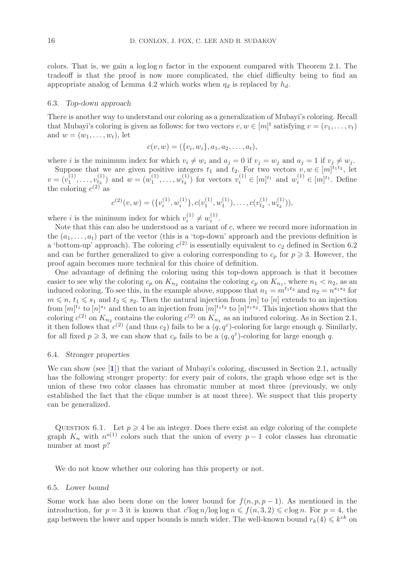colors. That is, we gain a  $\log \log n$  factor in the exponent compared with Theorem 2.1. The tradeoff is that the proof is now more complicated, the chief difficulty being to find an appropriate analog of Lemma 4.2 which works when  $\eta_d$  is replaced by  $h_d$ .

#### 6.3. *Top-down approach*

There is another way to understand our coloring as a generalization of Mubayi's coloring. Recall that Mubayi's coloring is given as follows: for two vectors  $v, w \in [m]^t$  satisfying  $v = (v_1, \ldots, v_t)$ and  $w = (w_1, \ldots, w_t)$ , let

$$
c(v, w) = (\{v_i, w_i\}, a_1, a_2, \dots, a_t),
$$

where *i* is the minimum index for which  $v_i \neq w_i$  and  $a_j = 0$  if  $v_j = w_j$  and  $a_j = 1$  if  $v_j \neq w_j$ . Suppose that we are given positive integers  $t_1$  and  $t_2$ . For two vectors  $v, w \in [m]^{t_1 t_2}$ , let  $v = (v_1^{(1)}, \ldots, v_{t_2}^{(1)})$  and  $w = (w_1^{(1)}, \ldots, w_{t_2}^{(1)})$  for vectors  $v_i^{(1)} \in [m]^{t_1}$  and  $w_i^{(1)} \in [m]^{t_1}$ . Define the coloring  $c^{(2)}$  as

$$
c^{(2)}(v,w) = (\{v_i^{(1)}, w_i^{(1)}\}, c(v_1^{(1)}, w_1^{(1)}), \dots, c(v_{t_2}^{(1)}, w_{t_2}^{(1)})),
$$

where *i* is the minimum index for which  $v_i^{(1)} \neq w_i^{(1)}$ .

Note that this can also be understood as a variant of  $c$ , where we record more information in the  $(a_1,\ldots,a_t)$  part of the vector (this is a 'top-down' approach and the previous definition is a 'bottom-up' approach). The coloring  $c^{(2)}$  is essentially equivalent to  $c_2$  defined in Section 6.2 and can be further generalized to give a coloring corresponding to  $c_p$  for  $p \geq 3$ . However, the proof again becomes more technical for this choice of definition.

One advantage of defining the coloring using this top-down approach is that it becomes easier to see why the coloring  $c_p$  on  $K_{n_2}$  contains the coloring  $c_p$  on  $K_{n_1}$ , where  $n_1 < n_2$ , as an induced coloring. To see this, in the example above, suppose that  $n_1 = m^{t_1 t_2}$  and  $n_2 = n^{s_1 s_2}$  for  $m \leq n$ ,  $t_1 \leq s_1$  and  $t_2 \leq s_2$ . Then the natural injection from  $[m]$  to  $[n]$  extends to an injection<br>from  $[m]$ <sup>t</sup> to  $[n]$ <sup>51</sup>, and then to an injection from  $[m]$ <sup>t<sub>1</sub>*t<sub>2</sub>*, to  $[n]$ <sup>5152</sup>. This injection shows that </sup> from  $[m]^{t_1}$  to  $[n]^{s_1}$  and then to an injection from  $[m]^{t_1t_2}$  to  $[n]^{s_1s_2}$ . This injection shows that the coloring  $c^{(2)}$  on  $K_{n_2}$  contains the coloring  $c^{(2)}$  on  $K_{n_1}$  as an induced coloring. As in Section 2.1, it then follows that  $c^{(2)}$  (and thus  $c_2$ ) fails to be a  $(q, q^{\varepsilon})$ -coloring for large enough q. Similarly, for all fixed  $p \ge 3$ , we can show that  $c_p$  fails to be a  $(q, q^{\epsilon})$ -coloring for large enough q.

#### 6.4. *Stronger properties*

We can show (see [**[1](#page-16-7)**]) that the variant of Mubayi's coloring, discussed in Section 2.1, actually has the following stronger property: for every pair of colors, the graph whose edge set is the union of these two color classes has chromatic number at most three (previously, we only established the fact that the clique number is at most three). We suspect that this property can be generalized.

QUESTION 6.1. Let  $p \geq 4$  be an integer. Does there exist an edge coloring of the complete graph  $K_n$  with  $n^{o(1)}$  colors such that the union of every  $p-1$  color classes has chromatic number at most  $p$ ?

We do not know whether our coloring has this property or not.

#### 6.5. *Lower bound*

Some work has also been done on the lower bound for  $f(n, p, p - 1)$ . As mentioned in the introduction, for  $p = 3$  it is known that  $c' \log n / \log \log n \leq f(n, 3, 2) \leq c \log n$ . For  $p = 4$ , the gap between the lower and upper bounds is much wider. The well-known bound  $r_k(4) \leq k^{ck}$  on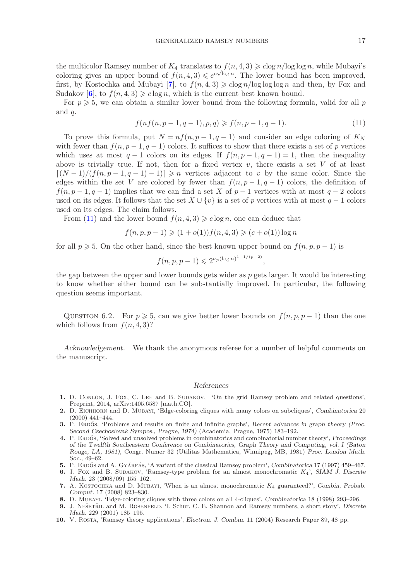the multicolor Ramsey number of  $K_4$  translates to  $f(n, 4, 3) \geqslant c \log n / \log \log n$ , while Mubayi's<br>coloring gives an unper bound of  $f(n, 4, 3) \leqslant c \sqrt{\log n}$ . The large hound has been improved coloring gives an upper bound of  $f(n, 4, 3) \leq e^{c\sqrt{\log n}}$ . The lower bound has been improved, first, by Kostochka and Mubayi [[7](#page-16-8)], to  $f(n, 4, 3) \geqslant c \log n / \log \log \log n$  and then, by Fox and Sudakov [[6](#page-16-9)], to  $f(n, 4, 3) \geq c \log n$ , which is the current best known bound.

For  $p \geqslant 5$ , we can obtain a similar lower bound from the following formula, valid for all p and q.

<span id="page-16-10"></span>
$$
f(nf(n, p-1, q-1), p, q) \geqslant f(n, p-1, q-1). \tag{11}
$$

To prove this formula, put  $N = nf(n, p-1, q-1)$  and consider an edge coloring of  $K_N$ with fewer than  $f(n, p-1, q-1)$  colors. It suffices to show that there exists a set of p vertices which uses at most  $q-1$  colors on its edges. If  $f(n, p-1, q-1) = 1$ , then the inequality above is trivially true. If not, then for a fixed vertex  $v$ , there exists a set V of at least  $[(N-1)/(f(n, p-1, q-1)-1)] \geq n$  vertices adjacent to v by the same color. Since the edges within the set V are colored by fewer than  $f(n, p - 1, q - 1)$  colors, the definition of  $f(n, p-1, q-1)$  implies that we can find a set X of  $p-1$  vertices with at most  $q-2$  colors used on its edges. It follows that the set  $X \cup \{v\}$  is a set of p vertices with at most  $q-1$  colors used on its edges. The claim follows.

From [\(11\)](#page-16-10) and the lower bound  $f(n, 4, 3) \geq c \log n$ , one can deduce that

$$
f(n, p, p - 1) \geq (1 + o(1))f(n, 4, 3) \geq (c + o(1))\log n
$$

for all  $p \ge 5$ . On the other hand, since the best known upper bound on  $f(n, p, p - 1)$  is

$$
f(n, p, p-1) \leq 2^{a_p(\log n)^{1-1/(p-2)}},
$$

the gap between the upper and lower bounds gets wider as  $p$  gets larger. It would be interesting to know whether either bound can be substantially improved. In particular, the following question seems important.

QUESTION 6.2. For  $p \ge 5$ , can we give better lower bounds on  $f(n, p, p-1)$  than the one which follows from  $f(n, 4, 3)$ ?

*Acknowledgement.* We thank the anonymous referee for a number of helpful comments on the manuscript.

#### *References*

- <span id="page-16-7"></span>**1.** D. Conlon, J. Fox, C. Lee and B. Sudakov, 'On the grid Ramsey problem and related questions', Preprint, 2014, arXiv:1405.6587 [math.CO].
- <span id="page-16-6"></span>**2.** D. Eichhorn and D. Mubayi, 'Edge-coloring cliques with many colors on subcliques', *Combinatorica* 20 (2000) 441–444.
- <span id="page-16-2"></span>**3.** P. ERDOS, 'Problems and results on finite and infinite graphs', *Recent advances in graph theory (Proc. Second Czechoslovak Sympos., Prague, 1974)* (Academia, Prague, 1975) 183–192.
- <span id="page-16-3"></span>**4.** P. Erdos˝ , 'Solved and unsolved problems in combinatorics and combinatorial number theory', *Proceedings of the Twelfth Southeastern Conference on Combinatorics, Graph Theory and Computing, vol. I (Baton Rouge, LA, 1981)*, Congr. Numer 32 (Utilitas Mathematica, Winnipeg, MB, 1981) *Proc. London Math. Soc.*, 49–62.
- <span id="page-16-4"></span>**5.** P. ERDŐS and A. GYÁRFÁS, 'A variant of the classical Ramsey problem', *Combinatorica* 17 (1997) 459–467.
- <span id="page-16-9"></span>**6.** J. Fox and B. Sudakov, 'Ramsey-type problem for an almost monochromatic *K*4', *SIAM J. Discrete Math.* 23 (2008/09) 155–162.
- <span id="page-16-8"></span>**7.** A. Kostochka and D. Mubayi, 'When is an almost monochromatic *K*<sup>4</sup> guaranteed?', *Combin. Probab. Comput.* 17 (2008) 823–830.
- <span id="page-16-5"></span>**8.** D. Mubayi, 'Edge-coloring cliques with three colors on all 4-cliques', *Combinatorica* 18 (1998) 293–296.
- <span id="page-16-0"></span>**9.** J. NEŠETŘIL and M. ROSENFELD, 'I. Schur, C. E. Shannon and Ramsey numbers, a short story', *Discrete Math.* 229 (2001) 185–195.
- <span id="page-16-1"></span>**10.** V. Rosta, 'Ramsey theory applications', *Electron. J. Combin.* 11 (2004) Research Paper 89, 48 pp.